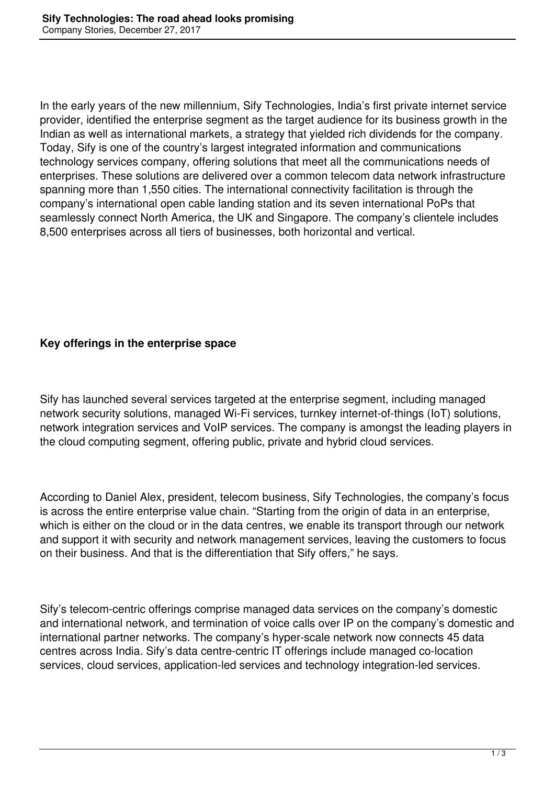In the early years of the new millennium, Sify Technologies, India's first private internet service provider, identified the enterprise segment as the target audience for its business growth in the Indian as well as international markets, a strategy that yielded rich dividends for the company. Today, Sify is one of the country's largest integrated information and communications technology services company, offering solutions that meet all the communications needs of enterprises. These solutions are delivered over a common telecom data network infrastructure spanning more than 1,550 cities. The international connectivity facilitation is through the company's international open cable landing station and its seven international PoPs that seamlessly connect North America, the UK and Singapore. The company's clientele includes 8,500 enterprises across all tiers of businesses, both horizontal and vertical.

## **Key offerings in the enterprise space**

Sify has launched several services targeted at the enterprise segment, including managed network security solutions, managed Wi-Fi services, turnkey internet-of-things (IoT) solutions, network integration services and VoIP services. The company is amongst the leading players in the cloud computing segment, offering public, private and hybrid cloud services.

According to Daniel Alex, president, telecom business, Sify Technologies, the company's focus is across the entire enterprise value chain. "Starting from the origin of data in an enterprise, which is either on the cloud or in the data centres, we enable its transport through our network and support it with security and network management services, leaving the customers to focus on their business. And that is the differentiation that Sify offers," he says.

Sify's telecom-centric offerings comprise managed data services on the company's domestic and international network, and termination of voice calls over IP on the company's domestic and international partner networks. The company's hyper-scale network now connects 45 data centres across India. Sify's data centre-centric IT offerings include managed co-location services, cloud services, application-led services and technology integration-led services.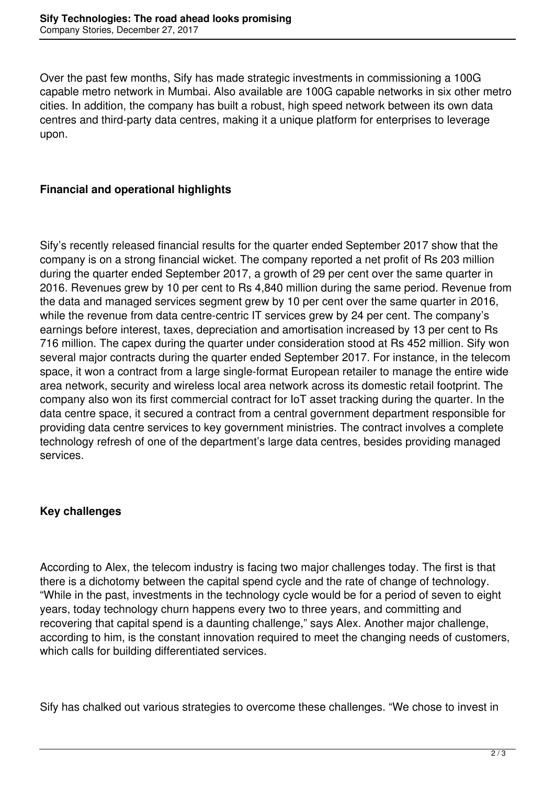Over the past few months, Sify has made strategic investments in commissioning a 100G capable metro network in Mumbai. Also available are 100G capable networks in six other metro cities. In addition, the company has built a robust, high speed network between its own data centres and third-party data centres, making it a unique platform for enterprises to leverage upon.

## **Financial and operational highlights**

Sify's recently released financial results for the quarter ended September 2017 show that the company is on a strong financial wicket. The company reported a net profit of Rs 203 million during the quarter ended September 2017, a growth of 29 per cent over the same quarter in 2016. Revenues grew by 10 per cent to Rs 4,840 million during the same period. Revenue from the data and managed services segment grew by 10 per cent over the same quarter in 2016, while the revenue from data centre-centric IT services grew by 24 per cent. The company's earnings before interest, taxes, depreciation and amortisation increased by 13 per cent to Rs 716 million. The capex during the quarter under consideration stood at Rs 452 million. Sify won several major contracts during the quarter ended September 2017. For instance, in the telecom space, it won a contract from a large single-format European retailer to manage the entire wide area network, security and wireless local area network across its domestic retail footprint. The company also won its first commercial contract for IoT asset tracking during the quarter. In the data centre space, it secured a contract from a central government department responsible for providing data centre services to key government ministries. The contract involves a complete technology refresh of one of the department's large data centres, besides providing managed services.

## **Key challenges**

According to Alex, the telecom industry is facing two major challenges today. The first is that there is a dichotomy between the capital spend cycle and the rate of change of technology. "While in the past, investments in the technology cycle would be for a period of seven to eight years, today technology churn happens every two to three years, and committing and recovering that capital spend is a daunting challenge," says Alex. Another major challenge, according to him, is the constant innovation required to meet the changing needs of customers, which calls for building differentiated services.

Sify has chalked out various strategies to overcome these challenges. "We chose to invest in